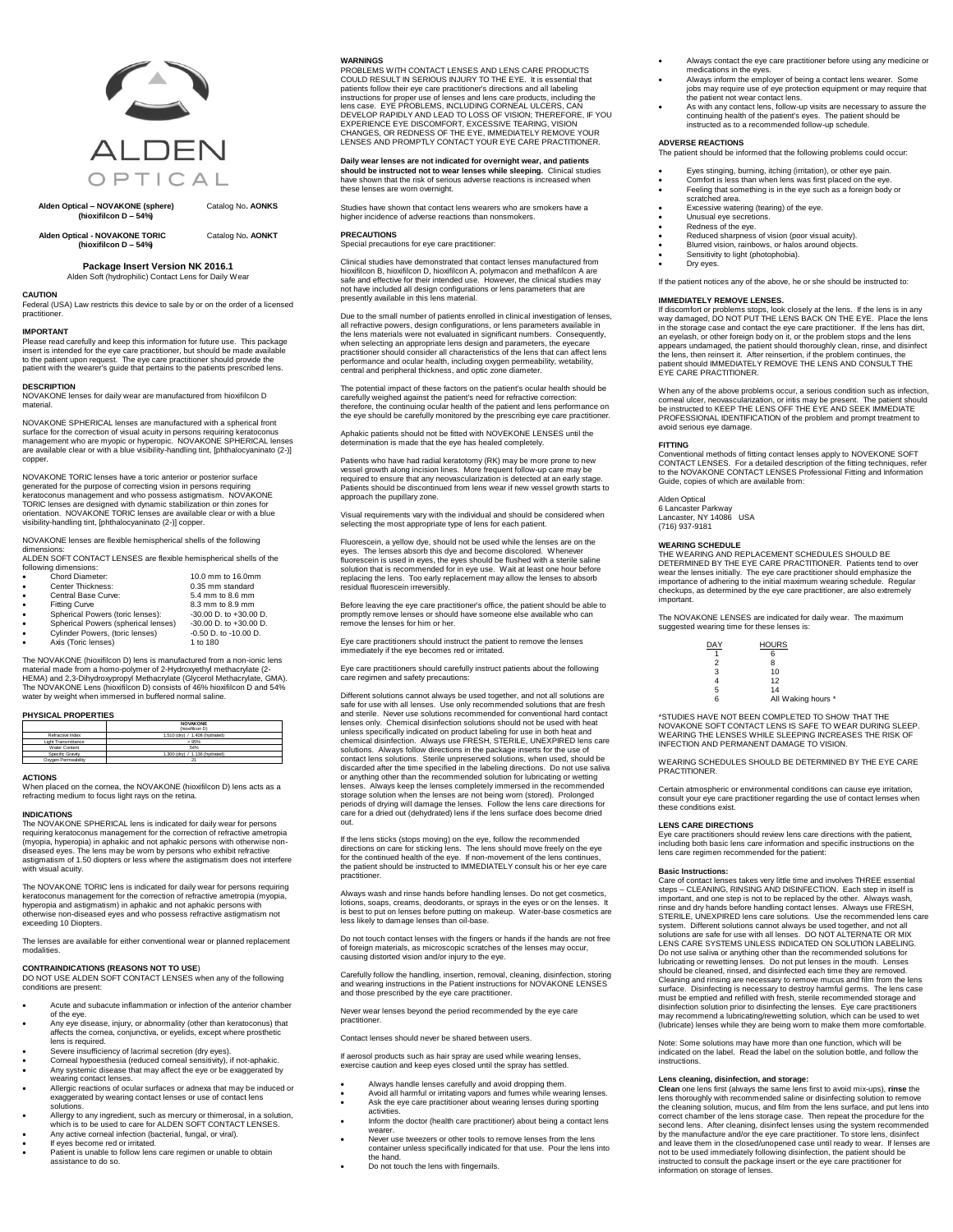

**Alden Optical – NOVAKONE (sphere)** Catalog No**. AONKS (hioxifilcon D – 54%)**

**Alden Optical - NOVAKONE TORIC** Catalog No**. AONKT (hioxifilcon D – 54%)**

# **Package Insert Version NK 2016.1**

Alden Soft (hydrophilic) Contact Lens for Daily Wear

**CAUTION**

Federal (USA) Law restricts this device to sale by or on the order of a licensed practition

### **IMPORTANT** Please read carefully and keep this information for future use. This package

insert is intended for the eye care practitioner, but should be made available to the patient upon request. The eye care practitioner should provide the patient with the wearer's guide that pertains to the patients prescribed lens. **DESCRIPTION**

NOVAKONE lenses for daily wear are manufactured from hioxifilcon D material.

NOVAKONE SPHERICAL lenses are manufactured with a spherical front surface for the correction of visual acuity in persons requiring keratoconus<br>management who are myopic or hyperopic. NOVAKONE SPHERICAL lenses<br>are available clear or with a blue visibility-handling tint, [phthalocyaninato copper.

NOVAKONE TORIC lenses have a toric anterior or posterior surface generated for the purpose of correcting vision in persons requiring<br>keratoconus management and who possess astigmatism. NOVAKONE<br>TORIC lenses are designed with dynamic stabilization or thin zones for<br>orientation. NOVAKONE

NOVAKONE lenses are flexible hemispherical shells of the following

dimensions: ALDEN SOFT CONTACT LENSES are flexible hemispherical shells of the following dimensions:

| $\bullet$ | Chord Diameter:                     | 10.0 mm to 16.0mm          |
|-----------|-------------------------------------|----------------------------|
| $\bullet$ | Center Thickness:                   | 0.35 mm standard           |
| $\bullet$ | Central Base Curve:                 | 5.4 mm to 8.6 mm           |
| $\bullet$ | <b>Fitting Curve</b>                | 8.3 mm to 8.9 mm           |
| $\bullet$ | Spherical Powers (toric lenses):    | $-30.00$ D, to $+30.00$ D. |
|           | Spherical Powers (spherical lenses) | $-30.00$ D, to $+30.00$ D. |
| $\bullet$ | Cylinder Powers, (toric lenses)     | $-0.50$ D, to $-10.00$ D.  |
|           | Axis (Toric lenses)                 | 1 to 180                   |

The NOVAKONE (hioxifilcon D) lens is manufactured from a non-ionic lens<br>material made from a homo-polymer of 2-Hydroxyethyl methacrylate (2-<br>HEMA) and 2,3-Dihydroxypropyl Methacrylate (Glycerol Methacrylate, GMA).<br>The NOVA water by weight when immersed in buffered normal saline.

### **PHYSICAL PROPERTIES**

|                     | <b>NOVAKONE</b>                |
|---------------------|--------------------------------|
|                     | (hioxificon D)                 |
| Refractive Index    | 1.510 (drv) / 1.408 (hydrated) |
| Light Transmittance | >95%                           |
| Water Content       | 54%                            |
| Specific Gravity    | 1.300 (drv) / 1.136 (hydrated) |
| Oxygen Permeability | 21                             |

### **ACTIONS**

When placed on the cornea, the NOVAKONE (hioxifilcon D) lens acts as a refracting medium to focus light rays on the retina.

### **INDICATIONS**

The NOVAKONE SPHERICAL lens is indicated for daily wear for persons<br>requiring keratoconus management for the correction of refractive ametropia<br>(myopia, hyperopia) in aphakic and not aphakic persons with otherwise nondiseased eyes. The lens may be worn by persons who exhibit refractive astigmatism of 1.50 diopters or less where the astigmatism does not interfere with visual acuity.

The NOVAKONE TORIC lens is indicated for daily wear for persons requiring keratoconus management for the correction of refractive ametropia (myopia, hyperopia and astigmatism) in aphakic and not aphakic persons with otherwise non-diseased eyes and who possess refractive astigmatism not exceeding 10 Diopters.

The lenses are available for either conventional wear or planned replacement modalities.

**CONTRAINDICATIONS (REASONS NOT TO USE**) DO NOT USE ALDEN SOFT CONTACT LENSES when any of the following conditions are present

- Acute and subacute inflammation or infection of the anterior chamber of the eye.
- Any eye disease, injury, or abnormality (other than keratoconus) that affects the cornea, conjunctiva, or eyelids, except where prosthetic lens is required.
- Severe insufficiency of lacrimal secretion (dry eyes).
- Corneal hypoesthesia (reduced corneal sensitivity), if not-aphakic. Any systemic disease that may affect the eye or be exaggerated by
- wearing contact lenses. Allergic reactions of ocular surfaces or adnexa that may be induced or exaggerated by wearing contact lenses or use of contact lens solutions.
- Allergy to any ingredient, such as mercury or thimerosal, in a solution, which is to be used to care for ALDEN SOFT CONTACT LENSES. Any active corneal infection (bacterial, fungal, or viral).
- If eyes become red or irritated.
- n cyca become red or mitated.<br>Patient is unable to follow lens care regimen or unable to obtain assistance to do so.

# **WARNINGS**

PROBLEMS WITH CONTACT LENSES AND LENS CARE PRODUCTS COULD RESULT IN SERIOUS INJURY TO THE EYE. It is essential that patients follow their eye care practitioner's directions and all labeling instructions for proper use of lenses and lens care products, including the Iens case. EYE PROBLEMS, INCLUDING CORNEAL ULCERS, CAN<br>DEVELOP RAPIDLY AND LEAD TO LOSS OF VISION; THEREFORE, IF YOU<br>EXPERIENCE EYE DISCOMFORT, EXCESSIVE TEARING, VISION CHANGES, OR REDNESS OF THE EYE, IMMEDIATELY REMOVE YOUR LENSES AND PROMPTLY CONTACT YOUR EYE CARE PRACTITIONER.

ear lenses are not indicated for overnight wear, and pa

**should be instructed not to wear lenses while sleeping**. Clinical studies<br>have shown that the risk of serious adverse reactions is increased when<br>these lenses are worn overnight.

Studies have shown that contact lens wearers who are smokers have a higher incidence of adverse reactions than nonsmokers.

### **PRECAUTIONS**

Special precautions for eye care practitioner:

Clinical studies have demonstrated that contact lenses manufactured from hioxifilcon B, hioxifilcon D, hioxifilcon A, polymacon and methafilcon A are<br>safe and effective for their intended use. However, the clinical studies may<br>not have included all design configurations or lens parameters that presently available in this lens material.

Due to the small number of patients enrolled in clinical investigation of lenses,<br>all refractive powers, design configurations, or lens parameters available in<br>the lens materials were not evaluated in significant numbers. when selecting an appropriate lens design and parameters, the eyecare<br>practitioner should consider all characteristics of the lens that can affect lens<br>performance and ocular health, including oxygen permeability, wetabili

The potential impact of these factors on the patient's ocular health should be<br>carefully weighed against the patient's need for refractive correction:<br>therefore, the continuing ocular health of the patient and lens perform the eye should be carefully monitored by the prescribing eye care practitioner.

Aphakic patients should not be fitted with NOVEKONE LENSES until the determination is made that the eye has healed completely.

Patients who have had radial keratotomy (RK) may be more prone to new vessel growth along incision lines. More frequent follow-up care may be<br>required to ensure that any neovascularization is detected at an early stage.<br>Patients should be discontinued from lens wear if new vessel growth star

Visual requirements vary with the individual and should be considered when selecting the most appropriate type of lens for each patient.

Fluorescein, a yellow dye, should not be used while the lenses are on the eyes. The lenses absorb this dye and become discolored. Whenever fluorescein is used in eyes, the eyes should be flushed with a sterile saline solut

Before leaving the eye care practitioner's office, the patient should be able to promptly remove lenses or should have someone else available who can remove the lenses for him or her.

Eye care practitioners should instruct the patient to remove the lenses immediately if the eye becomes red or irritated.

Eye care practitioners should carefully instruct patients about the following care regimen and safety precautions:

Different solutions cannot always be used together, and not all solutions are safe for use with all lenses. Use only recommended solutions that are fresh and sterile. Never use solutions recommended for conventional hard contact<br>lenses only. Chemical disinfection solutions should not be used with heat<br>unless specifically indicated on product labeling for use in both heat an solutions. Always follow directions in the package inserts for the use of<br>contact lens solutions. Sterile unpreserved solutions, when used, should be<br>discarded after the time specified in the labeling directions. Do not us lenses. Always keep the lenses completely immersed in the recommended storage solution when the lenses are not being worn (stored). Prolonged<br>periods of drying will damage the lenses. Follow the lens care directions for<br>care for a dried out (dehydrated) lens if the lens surface does become d

If the lens sticks (stops moving) on the eye, follow the recommended directions on care for sticking lens. The lens should move freely on the eye<br>for the continued health of the eye. If non-movement of the lens continues,<br>the patient should be instructed to IMMEDIATELY consult his or her practitioner.

Always wash and rinse hands before handling lenses. Do not get cosmetics,<br>lotions, soaps, creams, deodorants, or sprays in the eyes or on the lenses. It<br>is best to put on lenses before putting on makeup. Water-base cosmeti

Do not touch contact lenses with the fingers or hands if the hands are not free of foreign materials, as microscopic scratches of the lenses may occur, causing distorted vision and/or injury to the eye.

Carefully follow the handling, insertion, removal, cleaning, disinfection, storing and wearing instructions in the Patient instructions for NOVAKONE LENSES and those prescribed by the eye care practitioner.

Never wear lenses beyond the period recommended by the eye care practitioner.

Contact lenses should never be shared between users.

If aerosol products such as hair spray are used while wearing lenses, exercise caution and keep eyes closed until the spray has settled.

- Always handle lenses carefully and avoid dropping them.
- Avoid all harmful or irritating vapors and fumes while wearing lenses. Ask the eye care practitioner about wearing lenses during sporting activities.
- Inform the doctor (health care practitioner) about being a contact lens wearer.
	- Never use tweezers or other tools to remove lenses from the lens container unless specifically indicated for that use. Pour the lens into the hand.
	- Do not touch the lens with fingernails.
- Always contact the eye care practitioner before using any medicine or medications in the eyes. Always inform the employer of being a contact lens wearer. Some
- jobs may require use of eye protection equipment or may require that the patient not wear contact lens. As with any contact lens, follow-up visits are necessary to assure the
- continuing health of the patient's eyes. The patient should be instructed as to a recommended follow-up schedule.

# **ADVERSE REACTIONS**

The patient should be informed that the following problems could occur:

- Eyes stinging, burning, itching (irritation), or other eye pain. Comfort is less than when lens was first placed on the eye. Feeling that something is in the eye such as a foreign body or
- scratched area.
- Excessive watering (tearing) of the eye.
- Unusual eye secretions. Redness of the eye.
- 
- Reduced sharpness of vision (poor visual acuity). Blurred vision, rainbows, or halos around objects. Sensitivity to light (photophobia).
- Dry eyes.
- If the patient notices any of the above, he or she should be instructed to:

# **IMMEDIATELY REMOVE LENSES.**

If discomfort or problems stops, look closely at the lens. If the lens is in any way damaged, DO NOT PUT THE LENS BACK ON THE EYE. Place the lens<br>in the storage case and contact the eye care practitioner. If the lens has dirt,<br>an eyelash, or other foreign body on it, or the problem stops and the lens appears undamaged, the patient should thoroughly clean, rinse, and disinfect<br>the lens, then reinsert it. After reinsertion, if the problem continues, the<br>patient should IMMEDIATELY REMOVE THE LENS AND CONSULT THE EYE CARE PRACTITIONER.

When any of the above problems occur, a serious condition such as infection, corneal ulcer, neovascularization, or iritis may be present. The patient should be instructed to KEEP THE LENS OFF THE EYE AND SEEK IMMEDIATE PROFESSIONAL IDENTIFICATION of the problem and prompt treatment to avoid serious eye damage.

# **FITTING**

Conventional methods of fitting contact lenses apply to NOVEKONE SOFT<br>CONTACT LENSES. For a detailed description of the fitting techniques, refer<br>to the NOVAKONE CONTACT LENSES Professional Fitting and Information<br>Guide, c

Alden Optical 6 Lancaster Parkway Lancaster, NY 14086 USA (716) 937-9181

### **WEARING SCHEDULE**

DAY

 $\frac{2}{3}$ 

THE WEARING AND REPLACEMENT SCHEDULES SHOULD BE<br>DETERMINED BY THE EYE CARE PRACTITIONER. Patients tend to over<br>wear the lenses initially. The eye care practitioner should emphasize the importance of adhering to the initial maximum wearing schedule. Regular checkups, as determined by the eye care practitioner, are also extremely important.

The NOVAKONE LENSES are indicated for daily wear. The maximum suggested wearing time for these lenses is

| ١Υ | <b>HOURS</b>       |
|----|--------------------|
| 1  | 6                  |
| 2  | 8                  |
| 3  | 10                 |
| 4  | 12                 |
| 5  | 14                 |
| 6  | All Waking hours * |

\*STUDIES HAVE NOT BEEN COMPLETED TO SHOW THAT THE NOVAKONE SOFT CONTACT LENS IS SAFE TO WEAR DURING SLEEP.<br>WEARING THE LENSES WHILE SLEEPING INCREASES THE RISK OF<br>INFECTION AND PERMANENT DAMAGE TO VISION.

WEARING SCHEDULES SHOULD BE DETERMINED BY THE EYE CARE PRACTITIONER.

Certain atmospheric or environmental conditions can cause eye irritation, consult your eye care practitioner regarding the use of contact lenses when these conditions exist.

**LENS CARE DIRECTIONS** Eye care practitioners should review lens care directions with the patient, including both basic lens care information and specific instructions on the lens care regimen recommended for the patient:

# **Basic Instructions:**

Care of contact lenses takes very little time and involves THREE essential steps – CLEANING, RINSING AND DISINFECTION. Each step in itself is<br>important, and one step is not to be replaced by the other. Always wash,<br>rinse and dry hands before handling contact lenses. Always use FRESH,<br>citreRLE, UN system. Different solutions cannot always be used together, and not all solutions are safe for use with all lenses. DO NOT ALTERNATE OR MIX<br>LENS CARE SYSTEMS UNLESS INDICATED ON SOLUTION LABELING.<br>Do not use saliva or anything other than the recommended solutions for<br>lubricating or rewetting l should be cleaned, rinsed, and disinfected each time they are removed.<br>Cleaning and rinsing are necessary to remove mucus and film from the lens<br>surface. Disinfecting is necessary to destroy harmful germs. The lens case<br>mu disinfection solution prior to disinfecting the lenses. Eye care practitioners may recommend a lubricating/rewetting solution, which can be used to wet (lubricate) lenses while they are being worn to make them more comfortable.

Note: Some solutions may have more than one function, which will be indicated on the label. Read the label on the solution bottle, and follow the instructions.

**Lens cleaning, disinfection, and storage: Clean** one lens first (always the same lens first to avoid mix-ups), **rinse** the lens thoroughly with recommended saline or disinfecting solution to remove<br>the cleaning solution, mucus, and film from the lens surface, and put lens into<br>correct chamber of the lens storage case. Then repeat the procedure and leave them in the closed/unopened case until ready to wear. If lenses are<br>not to be used immediately following disinfection, the patient should be<br>instructed to consult the package insert or the eye care practitioner f